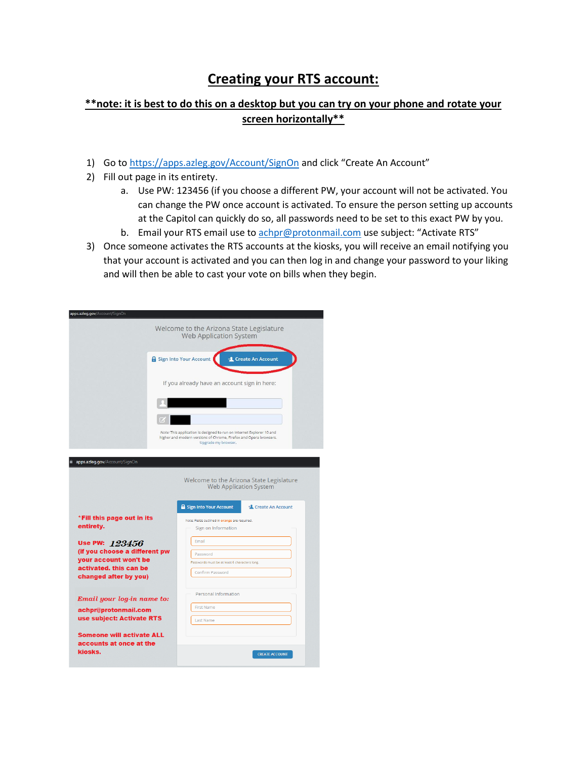## **Creating your RTS account:**

## **\*\*note: it is best to do this on a desktop but you can try on your phone and rotate your screen horizontally\*\***

- 1) Go to<https://apps.azleg.gov/Account/SignOn> and click "Create An Account"
- 2) Fill out page in its entirety.
	- a. Use PW: 123456 (if you choose a different PW, your account will not be activated. You can change the PW once account is activated. To ensure the person setting up accounts at the Capitol can quickly do so, all passwords need to be set to this exact PW by you.
	- b. Email your RTS email use to [achpr@protonmail.com](mailto:achpr@protonmail.com) use subject: "Activate RTS"
- 3) Once someone activates the RTS accounts at the kiosks, you will receive an email notifying you that your account is activated and you can then log in and change your password to your liking and will then be able to cast your vote on bills when they begin.

| apps.azleg.gov/Account/SignOn                                                                                               |                                                                                                                                                                   |
|-----------------------------------------------------------------------------------------------------------------------------|-------------------------------------------------------------------------------------------------------------------------------------------------------------------|
|                                                                                                                             | Welcome to the Arizona State Legislature<br><b>Web Application System</b>                                                                                         |
|                                                                                                                             | Sign Into Your Account<br><b>L</b> Create An Account                                                                                                              |
|                                                                                                                             | If you already have an account sign in here:                                                                                                                      |
|                                                                                                                             |                                                                                                                                                                   |
|                                                                                                                             | Note: This application is designed to run on Internet Explorer 10 and<br>higher and modern versions of Chrome, Firefox and Opera browsers.<br>Upgrade my browser. |
| apps.azleg.gov/Account/SignOn<br>Welcome to the Arizona State Legislature                                                   |                                                                                                                                                                   |
|                                                                                                                             | <b>Web Application System</b><br><b>R</b> Sign Into Your Account<br><b>L</b> Create An Account                                                                    |
| *Fill this page out in its<br>entirety.                                                                                     | Note: Fields outlined in orange are required.<br>Sign on Information                                                                                              |
| Use PW: 123456<br>(if you choose a different pw<br>your account won't be<br>activated, this can be<br>changed after by you) | Email<br>Password<br>Passwords must be at least 6 characters long.<br>Confirm Password                                                                            |
| Email your log-in name to:<br>achpr@protonmail.com                                                                          | Personal Information<br><b>First Name</b>                                                                                                                         |
| use subject: Activate RTS<br><b>Someone will activate ALL</b><br>accounts at once at the<br>kiosks.                         | <b>Last Name</b><br><b>CREATE ACCOUNT</b>                                                                                                                         |
|                                                                                                                             |                                                                                                                                                                   |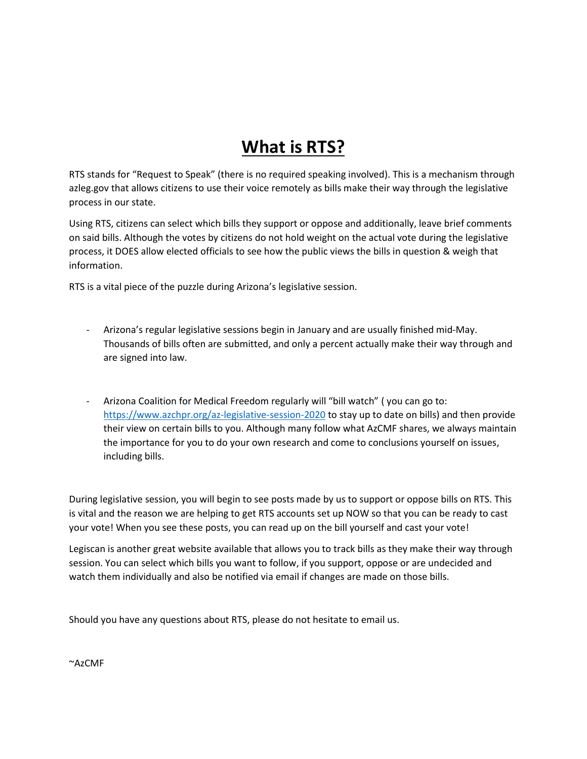## **What is RTS?**

RTS stands for "Request to Speak" (there is no required speaking involved). This is a mechanism through azleg.gov that allows citizens to use their voice remotely as bills make their way through the legislative process in our state.

Using RTS, citizens can select which bills they support or oppose and additionally, leave brief comments on said bills. Although the votes by citizens do not hold weight on the actual vote during the legislative process, it DOES allow elected officials to see how the public views the bills in question & weigh that information.

RTS is a vital piece of the puzzle during Arizona's legislative session.

- Arizona's regular legislative sessions begin in January and are usually finished mid-May. Thousands of bills often are submitted, and only a percent actually make their way through and are signed into law.
- Arizona Coalition for Medical Freedom regularly will "bill watch" ( you can go to: <https://www.azchpr.org/az-legislative-session-2020> to stay up to date on bills) and then provide their view on certain bills to you. Although many follow what AzCMF shares, we always maintain the importance for you to do your own research and come to conclusions yourself on issues, including bills.

During legislative session, you will begin to see posts made by us to support or oppose bills on RTS. This is vital and the reason we are helping to get RTS accounts set up NOW so that you can be ready to cast your vote! When you see these posts, you can read up on the bill yourself and cast your vote!

Legiscan is another great website available that allows you to track bills as they make their way through session. You can select which bills you want to follow, if you support, oppose or are undecided and watch them individually and also be notified via email if changes are made on those bills.

Should you have any questions about RTS, please do not hesitate to email us.

~AzCMF